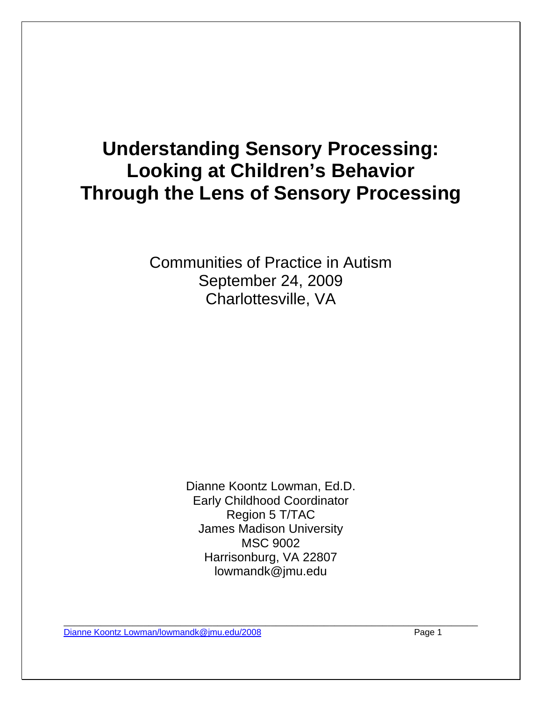# **Understanding Sensory Processing: Looking at Children's Behavior Through the Lens of Sensory Processing**

Communities of Practice in Autism September 24, 2009 Charlottesville, VA

> Dianne Koontz Lowman, Ed.D. Early Childhood Coordinator Region 5 T/TAC James Madison University MSC 9002 Harrisonburg, VA 22807 lowmandk@jmu.edu

\_\_\_\_\_\_\_\_\_\_\_\_\_\_\_\_\_\_\_\_\_\_\_\_\_\_\_\_\_\_\_\_\_\_\_\_\_\_\_\_\_\_\_\_\_\_\_\_\_\_\_\_\_\_\_\_\_\_\_\_\_\_\_\_\_\_\_\_\_\_\_\_\_\_\_\_\_\_ Dianne Koontz Lowman/lowmandk@jmu.edu/2008 example to the Page 1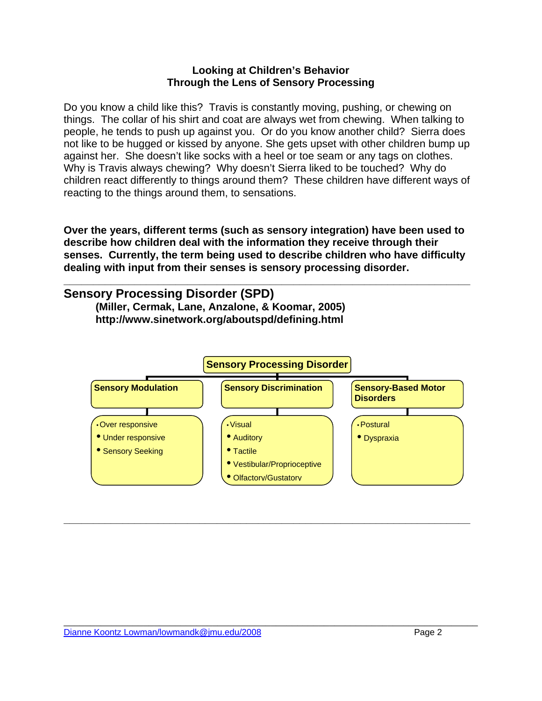#### **Looking at Children's Behavior Through the Lens of Sensory Processing**

Do you know a child like this? Travis is constantly moving, pushing, or chewing on things. The collar of his shirt and coat are always wet from chewing. When talking to people, he tends to push up against you. Or do you know another child? Sierra does not like to be hugged or kissed by anyone. She gets upset with other children bump up against her. She doesn't like socks with a heel or toe seam or any tags on clothes. Why is Travis always chewing? Why doesn't Sierra liked to be touched? Why do children react differently to things around them? These children have different ways of reacting to the things around them, to sensations.

**Over the years, different terms (such as sensory integration) have been used to describe how children deal with the information they receive through their senses. Currently, the term being used to describe children who have difficulty dealing with input from their senses is sensory processing disorder.** 

**\_\_\_\_\_\_\_\_\_\_\_\_\_\_\_\_\_\_\_\_\_\_\_\_\_\_\_\_\_\_\_\_\_\_\_\_\_\_\_\_\_\_\_\_\_\_\_\_\_\_\_\_\_\_\_\_\_\_\_\_\_\_\_\_\_\_\_\_\_** 

### **Sensory Processing Disorder (SPD)**

 **(Miller, Cermak, Lane, Anzalone, & Koomar, 2005) http://www.sinetwork.org/aboutspd/defining.html** 



**\_\_\_\_\_\_\_\_\_\_\_\_\_\_\_\_\_\_\_\_\_\_\_\_\_\_\_\_\_\_\_\_\_\_\_\_\_\_\_\_\_\_\_\_\_\_\_\_\_\_\_\_\_\_\_\_\_\_\_\_\_\_\_\_\_\_\_\_\_**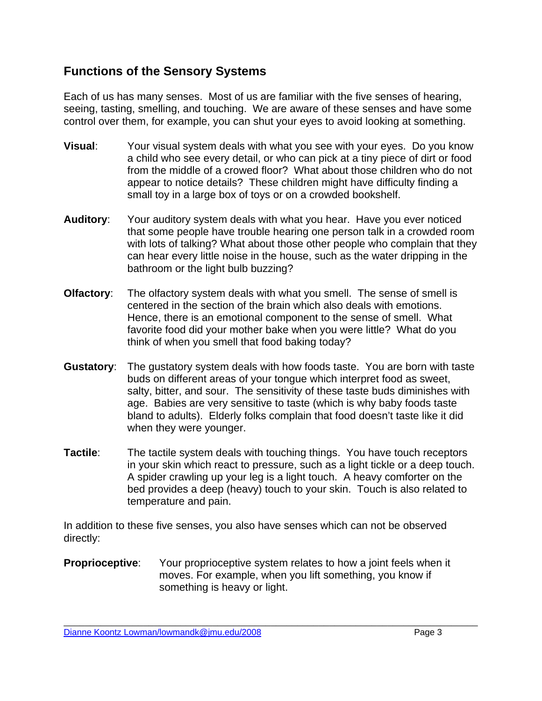### **Functions of the Sensory Systems**

Each of us has many senses. Most of us are familiar with the five senses of hearing, seeing, tasting, smelling, and touching. We are aware of these senses and have some control over them, for example, you can shut your eyes to avoid looking at something.

- **Visual**: Your visual system deals with what you see with your eyes. Do you know a child who see every detail, or who can pick at a tiny piece of dirt or food from the middle of a crowed floor? What about those children who do not appear to notice details? These children might have difficulty finding a small toy in a large box of toys or on a crowded bookshelf.
- **Auditory**: Your auditory system deals with what you hear. Have you ever noticed that some people have trouble hearing one person talk in a crowded room with lots of talking? What about those other people who complain that they can hear every little noise in the house, such as the water dripping in the bathroom or the light bulb buzzing?
- **Olfactory**: The olfactory system deals with what you smell. The sense of smell is centered in the section of the brain which also deals with emotions. Hence, there is an emotional component to the sense of smell. What favorite food did your mother bake when you were little? What do you think of when you smell that food baking today?
- **Gustatory**: The gustatory system deals with how foods taste. You are born with taste buds on different areas of your tongue which interpret food as sweet, salty, bitter, and sour. The sensitivity of these taste buds diminishes with age. Babies are very sensitive to taste (which is why baby foods taste bland to adults). Elderly folks complain that food doesn't taste like it did when they were younger.
- **Tactile:** The tactile system deals with touching things. You have touch receptors in your skin which react to pressure, such as a light tickle or a deep touch. A spider crawling up your leg is a light touch. A heavy comforter on the bed provides a deep (heavy) touch to your skin. Touch is also related to temperature and pain.

In addition to these five senses, you also have senses which can not be observed directly:

**Proprioceptive:** Your proprioceptive system relates to how a joint feels when it moves. For example, when you lift something, you know if something is heavy or light.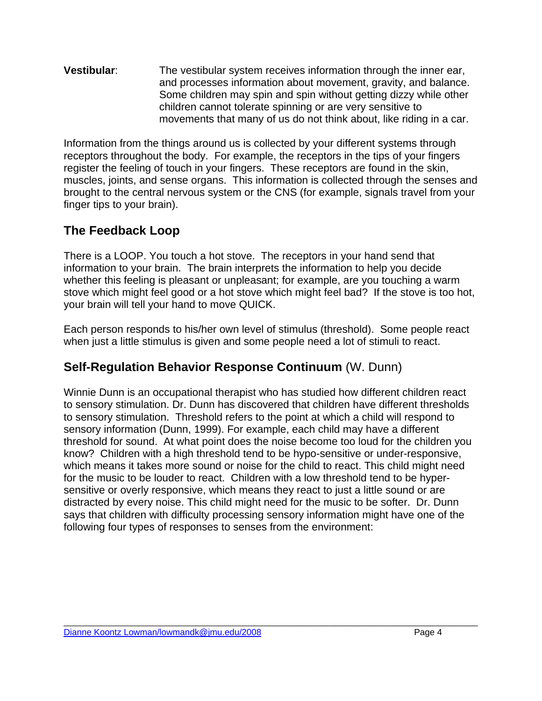**Vestibular**: The vestibular system receives information through the inner ear, and processes information about movement, gravity, and balance. Some children may spin and spin without getting dizzy while other children cannot tolerate spinning or are very sensitive to movements that many of us do not think about, like riding in a car.

Information from the things around us is collected by your different systems through receptors throughout the body. For example, the receptors in the tips of your fingers register the feeling of touch in your fingers. These receptors are found in the skin, muscles, joints, and sense organs. This information is collected through the senses and brought to the central nervous system or the CNS (for example, signals travel from your finger tips to your brain).

### **The Feedback Loop**

There is a LOOP. You touch a hot stove. The receptors in your hand send that information to your brain. The brain interprets the information to help you decide whether this feeling is pleasant or unpleasant; for example, are you touching a warm stove which might feel good or a hot stove which might feel bad? If the stove is too hot, your brain will tell your hand to move QUICK.

Each person responds to his/her own level of stimulus (threshold). Some people react when just a little stimulus is given and some people need a lot of stimuli to react.

### **Self-Regulation Behavior Response Continuum** (W. Dunn)

Winnie Dunn is an occupational therapist who has studied how different children react to sensory stimulation. Dr. Dunn has discovered that children have different thresholds to sensory stimulation. Threshold refers to the point at which a child will respond to sensory information (Dunn, 1999). For example, each child may have a different threshold for sound. At what point does the noise become too loud for the children you know? Children with a high threshold tend to be hypo-sensitive or under-responsive, which means it takes more sound or noise for the child to react. This child might need for the music to be louder to react. Children with a low threshold tend to be hypersensitive or overly responsive, which means they react to just a little sound or are distracted by every noise. This child might need for the music to be softer. Dr. Dunn says that children with difficulty processing sensory information might have one of the following four types of responses to senses from the environment: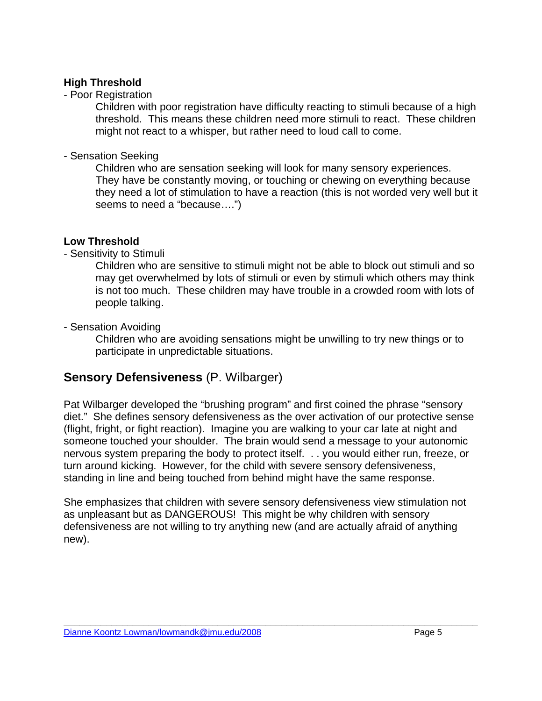#### **High Threshold**

#### - Poor Registration

Children with poor registration have difficulty reacting to stimuli because of a high threshold. This means these children need more stimuli to react. These children might not react to a whisper, but rather need to loud call to come.

#### - Sensation Seeking

Children who are sensation seeking will look for many sensory experiences. They have be constantly moving, or touching or chewing on everything because they need a lot of stimulation to have a reaction (this is not worded very well but it seems to need a "because….")

### **Low Threshold**

#### - Sensitivity to Stimuli

Children who are sensitive to stimuli might not be able to block out stimuli and so may get overwhelmed by lots of stimuli or even by stimuli which others may think is not too much. These children may have trouble in a crowded room with lots of people talking.

### - Sensation Avoiding

Children who are avoiding sensations might be unwilling to try new things or to participate in unpredictable situations.

### **Sensory Defensiveness** (P. Wilbarger)

Pat Wilbarger developed the "brushing program" and first coined the phrase "sensory diet." She defines sensory defensiveness as the over activation of our protective sense (flight, fright, or fight reaction). Imagine you are walking to your car late at night and someone touched your shoulder. The brain would send a message to your autonomic nervous system preparing the body to protect itself. . . you would either run, freeze, or turn around kicking. However, for the child with severe sensory defensiveness, standing in line and being touched from behind might have the same response.

She emphasizes that children with severe sensory defensiveness view stimulation not as unpleasant but as DANGEROUS! This might be why children with sensory defensiveness are not willing to try anything new (and are actually afraid of anything new).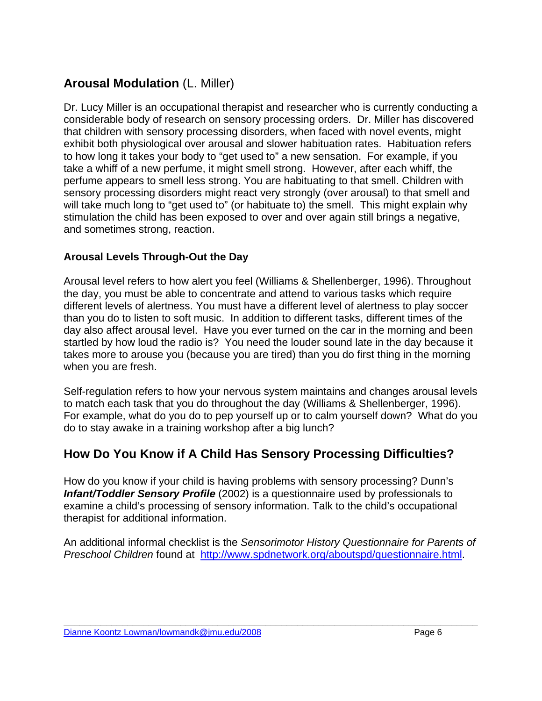### **Arousal Modulation** (L. Miller)

Dr. Lucy Miller is an occupational therapist and researcher who is currently conducting a considerable body of research on sensory processing orders. Dr. Miller has discovered that children with sensory processing disorders, when faced with novel events, might exhibit both physiological over arousal and slower habituation rates. Habituation refers to how long it takes your body to "get used to" a new sensation. For example, if you take a whiff of a new perfume, it might smell strong. However, after each whiff, the perfume appears to smell less strong. You are habituating to that smell. Children with sensory processing disorders might react very strongly (over arousal) to that smell and will take much long to "get used to" (or habituate to) the smell. This might explain why stimulation the child has been exposed to over and over again still brings a negative, and sometimes strong, reaction.

### **Arousal Levels Through-Out the Day**

Arousal level refers to how alert you feel (Williams & Shellenberger, 1996). Throughout the day, you must be able to concentrate and attend to various tasks which require different levels of alertness. You must have a different level of alertness to play soccer than you do to listen to soft music. In addition to different tasks, different times of the day also affect arousal level. Have you ever turned on the car in the morning and been startled by how loud the radio is? You need the louder sound late in the day because it takes more to arouse you (because you are tired) than you do first thing in the morning when you are fresh.

Self-regulation refers to how your nervous system maintains and changes arousal levels to match each task that you do throughout the day (Williams & Shellenberger, 1996). For example, what do you do to pep yourself up or to calm yourself down? What do you do to stay awake in a training workshop after a big lunch?

### **How Do You Know if A Child Has Sensory Processing Difficulties?**

How do you know if your child is having problems with sensory processing? Dunn's *Infant/Toddler Sensory Profile* (2002) is a questionnaire used by professionals to examine a child's processing of sensory information. Talk to the child's occupational therapist for additional information.

An additional informal checklist is the *Sensorimotor History Questionnaire for Parents of Preschool Children* found at <http://www.spdnetwork.org/aboutspd/questionnaire.html>.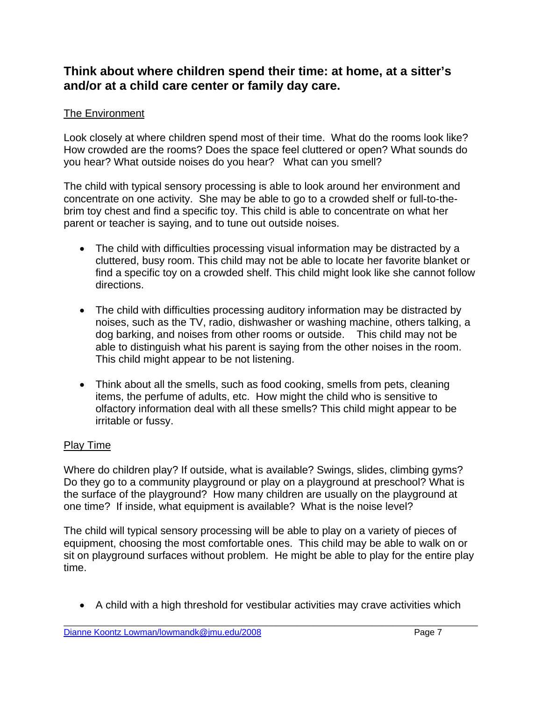### **Think about where children spend their time: at home, at a sitter's and/or at a child care center or family day care.**

### The Environment

Look closely at where children spend most of their time. What do the rooms look like? How crowded are the rooms? Does the space feel cluttered or open? What sounds do you hear? What outside noises do you hear? What can you smell?

The child with typical sensory processing is able to look around her environment and concentrate on one activity. She may be able to go to a crowded shelf or full-to-thebrim toy chest and find a specific toy. This child is able to concentrate on what her parent or teacher is saying, and to tune out outside noises.

- The child with difficulties processing visual information may be distracted by a cluttered, busy room. This child may not be able to locate her favorite blanket or find a specific toy on a crowded shelf. This child might look like she cannot follow directions.
- The child with difficulties processing auditory information may be distracted by noises, such as the TV, radio, dishwasher or washing machine, others talking, a dog barking, and noises from other rooms or outside. This child may not be able to distinguish what his parent is saying from the other noises in the room. This child might appear to be not listening.
- Think about all the smells, such as food cooking, smells from pets, cleaning items, the perfume of adults, etc. How might the child who is sensitive to olfactory information deal with all these smells? This child might appear to be irritable or fussy.

### Play Time

Where do children play? If outside, what is available? Swings, slides, climbing gyms? Do they go to a community playground or play on a playground at preschool? What is the surface of the playground? How many children are usually on the playground at one time? If inside, what equipment is available? What is the noise level?

The child will typical sensory processing will be able to play on a variety of pieces of equipment, choosing the most comfortable ones. This child may be able to walk on or sit on playground surfaces without problem. He might be able to play for the entire play time.

• A child with a high threshold for vestibular activities may crave activities which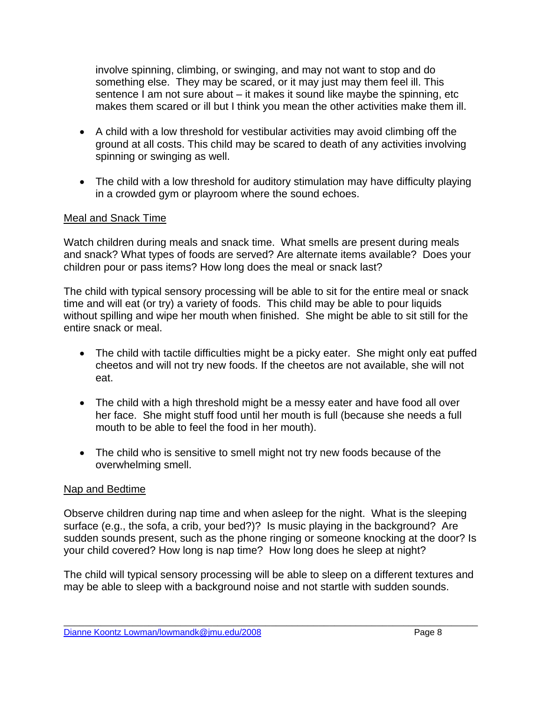involve spinning, climbing, or swinging, and may not want to stop and do something else. They may be scared, or it may just may them feel ill. This sentence I am not sure about – it makes it sound like maybe the spinning, etc makes them scared or ill but I think you mean the other activities make them ill.

- A child with a low threshold for vestibular activities may avoid climbing off the ground at all costs. This child may be scared to death of any activities involving spinning or swinging as well.
- The child with a low threshold for auditory stimulation may have difficulty playing in a crowded gym or playroom where the sound echoes.

#### Meal and Snack Time

Watch children during meals and snack time. What smells are present during meals and snack? What types of foods are served? Are alternate items available? Does your children pour or pass items? How long does the meal or snack last?

The child with typical sensory processing will be able to sit for the entire meal or snack time and will eat (or try) a variety of foods. This child may be able to pour liquids without spilling and wipe her mouth when finished. She might be able to sit still for the entire snack or meal.

- The child with tactile difficulties might be a picky eater. She might only eat puffed cheetos and will not try new foods. If the cheetos are not available, she will not eat.
- The child with a high threshold might be a messy eater and have food all over her face. She might stuff food until her mouth is full (because she needs a full mouth to be able to feel the food in her mouth).
- The child who is sensitive to smell might not try new foods because of the overwhelming smell.

#### Nap and Bedtime

Observe children during nap time and when asleep for the night. What is the sleeping surface (e.g., the sofa, a crib, your bed?)? Is music playing in the background? Are sudden sounds present, such as the phone ringing or someone knocking at the door? Is your child covered? How long is nap time? How long does he sleep at night?

The child will typical sensory processing will be able to sleep on a different textures and may be able to sleep with a background noise and not startle with sudden sounds.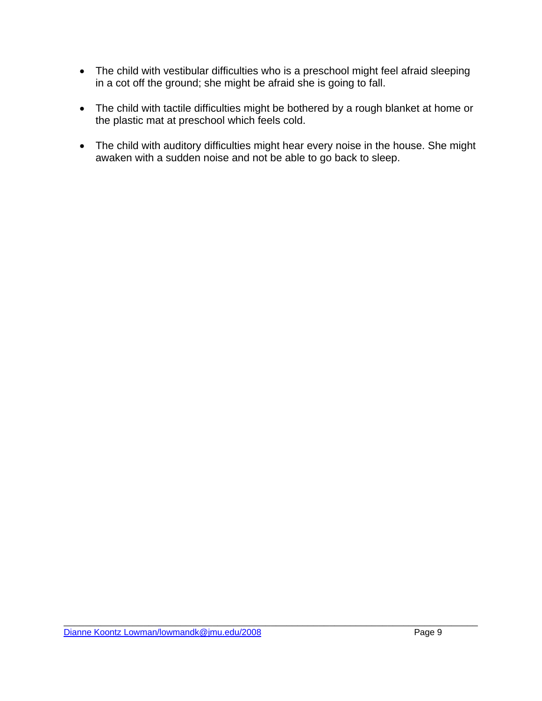- The child with vestibular difficulties who is a preschool might feel afraid sleeping in a cot off the ground; she might be afraid she is going to fall.
- The child with tactile difficulties might be bothered by a rough blanket at home or the plastic mat at preschool which feels cold.
- The child with auditory difficulties might hear every noise in the house. She might awaken with a sudden noise and not be able to go back to sleep.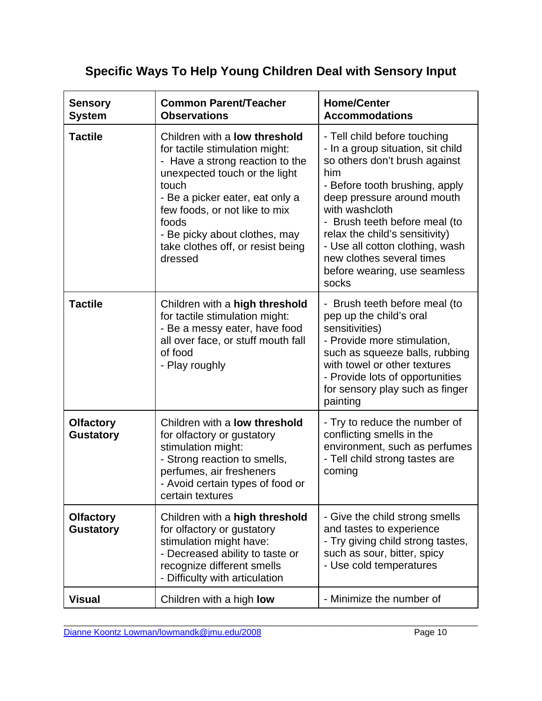## **Specific Ways To Help Young Children Deal with Sensory Input**

| <b>Sensory</b><br><b>System</b>      | <b>Common Parent/Teacher</b><br><b>Observations</b>                                                                                                                                                                                                                                                        | <b>Home/Center</b><br><b>Accommodations</b>                                                                                                                                                                                                                                                                                                                             |
|--------------------------------------|------------------------------------------------------------------------------------------------------------------------------------------------------------------------------------------------------------------------------------------------------------------------------------------------------------|-------------------------------------------------------------------------------------------------------------------------------------------------------------------------------------------------------------------------------------------------------------------------------------------------------------------------------------------------------------------------|
| <b>Tactile</b>                       | Children with a low threshold<br>for tactile stimulation might:<br>- Have a strong reaction to the<br>unexpected touch or the light<br>touch<br>- Be a picker eater, eat only a<br>few foods, or not like to mix<br>foods<br>- Be picky about clothes, may<br>take clothes off, or resist being<br>dressed | - Tell child before touching<br>- In a group situation, sit child<br>so others don't brush against<br>him<br>- Before tooth brushing, apply<br>deep pressure around mouth<br>with washcloth<br>- Brush teeth before meal (to<br>relax the child's sensitivity)<br>- Use all cotton clothing, wash<br>new clothes several times<br>before wearing, use seamless<br>socks |
| <b>Tactile</b>                       | Children with a high threshold<br>for tactile stimulation might:<br>- Be a messy eater, have food<br>all over face, or stuff mouth fall<br>of food<br>- Play roughly                                                                                                                                       | - Brush teeth before meal (to<br>pep up the child's oral<br>sensitivities)<br>- Provide more stimulation,<br>such as squeeze balls, rubbing<br>with towel or other textures<br>- Provide lots of opportunities<br>for sensory play such as finger<br>painting                                                                                                           |
| <b>Olfactory</b><br><b>Gustatory</b> | Children with a <b>low threshold</b><br>for olfactory or gustatory<br>stimulation might:<br>- Strong reaction to smells,<br>perfumes, air fresheners<br>- Avoid certain types of food or<br>certain textures                                                                                               | - Try to reduce the number of<br>conflicting smells in the<br>environment, such as perfumes<br>- Tell child strong tastes are<br>coming                                                                                                                                                                                                                                 |
| <b>Olfactory</b><br><b>Gustatory</b> | Children with a high threshold<br>for olfactory or gustatory<br>stimulation might have:<br>- Decreased ability to taste or<br>recognize different smells<br>- Difficulty with articulation                                                                                                                 | - Give the child strong smells<br>and tastes to experience<br>- Try giving child strong tastes,<br>such as sour, bitter, spicy<br>- Use cold temperatures                                                                                                                                                                                                               |
| <b>Visual</b>                        | Children with a high <b>low</b>                                                                                                                                                                                                                                                                            | - Minimize the number of                                                                                                                                                                                                                                                                                                                                                |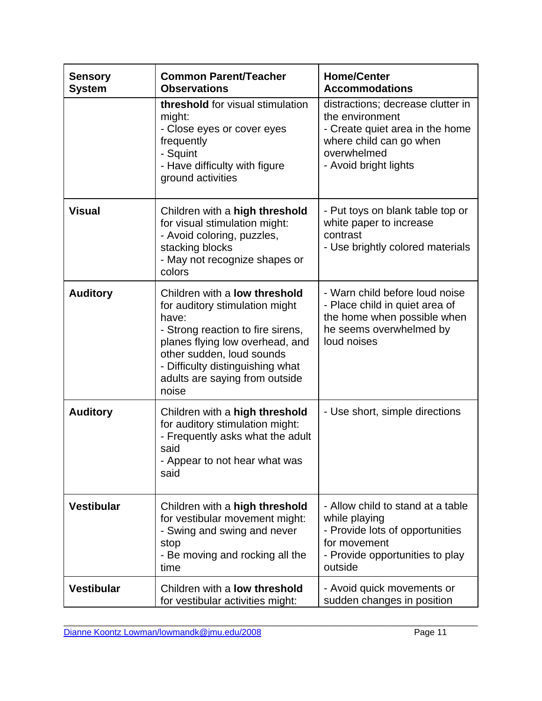| <b>Sensory</b><br><b>System</b> | <b>Common Parent/Teacher</b><br><b>Observations</b>                                                                                                                                                                                                                 | <b>Home/Center</b><br><b>Accommodations</b>                                                                                                                |
|---------------------------------|---------------------------------------------------------------------------------------------------------------------------------------------------------------------------------------------------------------------------------------------------------------------|------------------------------------------------------------------------------------------------------------------------------------------------------------|
|                                 | threshold for visual stimulation<br>might:<br>- Close eyes or cover eyes<br>frequently<br>- Squint<br>- Have difficulty with figure<br>ground activities                                                                                                            | distractions; decrease clutter in<br>the environment<br>- Create quiet area in the home<br>where child can go when<br>overwhelmed<br>- Avoid bright lights |
| <b>Visual</b>                   | Children with a high threshold<br>for visual stimulation might:<br>- Avoid coloring, puzzles,<br>stacking blocks<br>- May not recognize shapes or<br>colors                                                                                                         | - Put toys on blank table top or<br>white paper to increase<br>contrast<br>- Use brightly colored materials                                                |
| <b>Auditory</b>                 | Children with a <b>low threshold</b><br>for auditory stimulation might<br>have:<br>- Strong reaction to fire sirens,<br>planes flying low overhead, and<br>other sudden, loud sounds<br>- Difficulty distinguishing what<br>adults are saying from outside<br>noise | - Warn child before loud noise<br>- Place child in quiet area of<br>the home when possible when<br>he seems overwhelmed by<br>loud noises                  |
| <b>Auditory</b>                 | Children with a high threshold<br>for auditory stimulation might:<br>- Frequently asks what the adult<br>said<br>- Appear to not hear what was<br>said                                                                                                              | - Use short, simple directions                                                                                                                             |
| <b>Vestibular</b>               | Children with a high threshold<br>for vestibular movement might:<br>- Swing and swing and never<br>stop<br>- Be moving and rocking all the<br>time                                                                                                                  | - Allow child to stand at a table<br>while playing<br>- Provide lots of opportunities<br>for movement<br>- Provide opportunities to play<br>outside        |
| <b>Vestibular</b>               | Children with a <b>low threshold</b><br>for vestibular activities might:                                                                                                                                                                                            | - Avoid quick movements or<br>sudden changes in position                                                                                                   |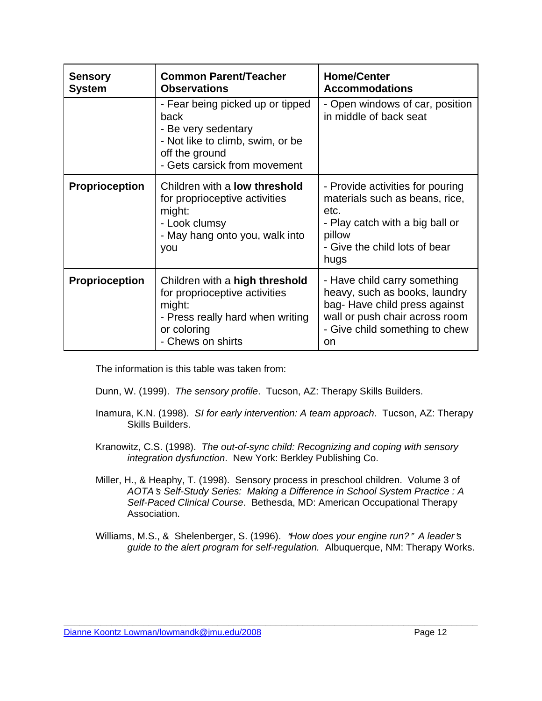| <b>Sensory</b><br><b>System</b> | <b>Common Parent/Teacher</b><br><b>Observations</b>                                                                                                   | <b>Home/Center</b><br><b>Accommodations</b>                                                                                                                             |
|---------------------------------|-------------------------------------------------------------------------------------------------------------------------------------------------------|-------------------------------------------------------------------------------------------------------------------------------------------------------------------------|
|                                 | - Fear being picked up or tipped<br>back<br>- Be very sedentary<br>- Not like to climb, swim, or be<br>off the ground<br>- Gets carsick from movement | - Open windows of car, position<br>in middle of back seat                                                                                                               |
| <b>Proprioception</b>           | Children with a <b>low threshold</b><br>for proprioceptive activities<br>might:<br>- Look clumsy<br>- May hang onto you, walk into<br>you             | - Provide activities for pouring<br>materials such as beans, rice,<br>etc.<br>- Play catch with a big ball or<br>pillow<br>- Give the child lots of bear<br>hugs        |
| <b>Proprioception</b>           | Children with a high threshold<br>for proprioceptive activities<br>might:<br>- Press really hard when writing<br>or coloring<br>- Chews on shirts     | - Have child carry something<br>heavy, such as books, laundry<br>bag-Have child press against<br>wall or push chair across room<br>- Give child something to chew<br>on |

The information is this table was taken from:

Dunn, W. (1999). *The sensory profile*. Tucson, AZ: Therapy Skills Builders.

- Inamura, K.N. (1998). *SI for early intervention: A team approach*. Tucson, AZ: Therapy Skills Builders.
- Kranowitz, C.S. (1998). *The out-of-sync child: Recognizing and coping with sensory integration dysfunction*. New York: Berkley Publishing Co.
- Miller, H., & Heaphy, T. (1998). Sensory process in preschool children. Volume 3 of *AOTA*=*s Self-Study Series: Making a Difference in School System Practice : A Self-Paced Clinical Course*. Bethesda, MD: American Occupational Therapy Association.
- Williams, M.S., & Shelenberger, S. (1996). "How does your engine run?" A leader's *guide to the alert program for self-regulation.* Albuquerque, NM: Therapy Works.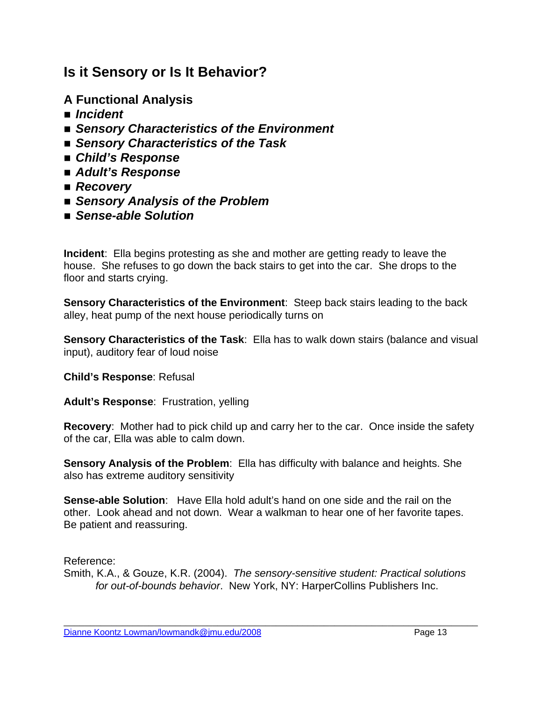### **Is it Sensory or Is It Behavior?**

- **A Functional Analysis**
- *Incident*
- Sensory Characteristics of the Environment
- *Sensory Characteristics of the Task*
- *Child's Response*
- *Adult's Response*
- *Recovery*
- *Sensory Analysis of the Problem*
- *Sense-able Solution*

**Incident**: Ella begins protesting as she and mother are getting ready to leave the house. She refuses to go down the back stairs to get into the car. She drops to the floor and starts crying.

**Sensory Characteristics of the Environment**: Steep back stairs leading to the back alley, heat pump of the next house periodically turns on

**Sensory Characteristics of the Task**: Ella has to walk down stairs (balance and visual input), auditory fear of loud noise

#### **Child's Response**: Refusal

**Adult's Response**: Frustration, yelling

**Recovery**: Mother had to pick child up and carry her to the car. Once inside the safety of the car, Ella was able to calm down.

**Sensory Analysis of the Problem**: Ella has difficulty with balance and heights. She also has extreme auditory sensitivity

**Sense-able Solution**: Have Ella hold adult's hand on one side and the rail on the other. Look ahead and not down. Wear a walkman to hear one of her favorite tapes. Be patient and reassuring.

Reference:

Smith, K.A., & Gouze, K.R. (2004). *The sensory-sensitive student: Practical solutions for out-of-bounds behavior*. New York, NY: HarperCollins Publishers Inc.

\_\_\_\_\_\_\_\_\_\_\_\_\_\_\_\_\_\_\_\_\_\_\_\_\_\_\_\_\_\_\_\_\_\_\_\_\_\_\_\_\_\_\_\_\_\_\_\_\_\_\_\_\_\_\_\_\_\_\_\_\_\_\_\_\_\_\_\_\_\_\_\_\_\_\_\_\_\_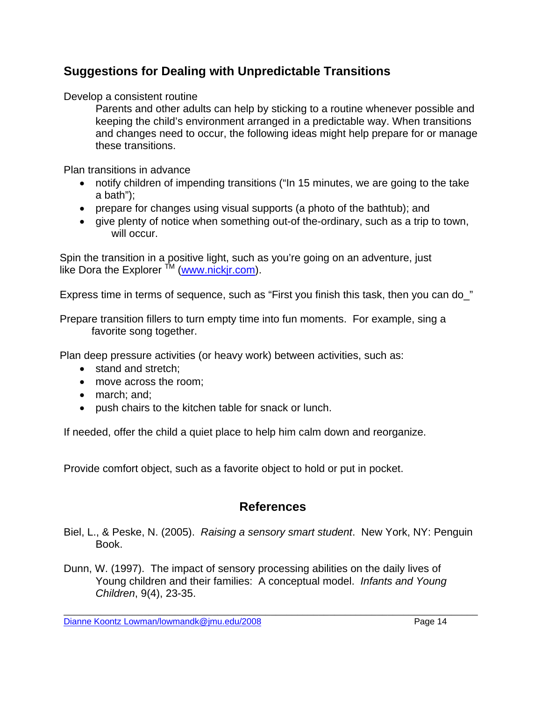### **Suggestions for Dealing with Unpredictable Transitions**

Develop a consistent routine

Parents and other adults can help by sticking to a routine whenever possible and keeping the child's environment arranged in a predictable way. When transitions and changes need to occur, the following ideas might help prepare for or manage these transitions.

Plan transitions in advance

- notify children of impending transitions ("In 15 minutes, we are going to the take a bath");
- prepare for changes using visual supports (a photo of the bathtub); and
- give plenty of notice when something out-of the-ordinary, such as a trip to town, will occur.

Spin the transition in a positive light, such as you're going on an adventure, just like Dora the Explorer  $<sup>TM</sup>$  (www.nickir.com).</sup>

Express time in terms of sequence, such as "First you finish this task, then you can do\_"

Prepare transition fillers to turn empty time into fun moments. For example, sing a favorite song together.

Plan deep pressure activities (or heavy work) between activities, such as:

- stand and stretch:
- move across the room:
- march; and;
- push chairs to the kitchen table for snack or lunch.

If needed, offer the child a quiet place to help him calm down and reorganize.

Provide comfort object, such as a favorite object to hold or put in pocket.

### **References**

- Biel, L., & Peske, N. (2005). *Raising a sensory smart student*. New York, NY: Penguin Book.
- Dunn, W. (1997). The impact of sensory processing abilities on the daily lives of Young children and their families: A conceptual model. *Infants and Young Children*, 9(4), 23-35.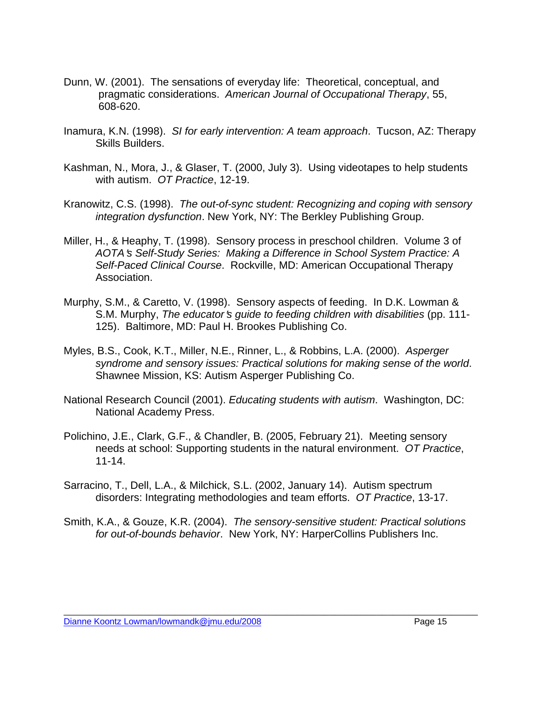- Dunn, W. (2001). The sensations of everyday life: Theoretical, conceptual, and pragmatic considerations. *American Journal of Occupational Therapy*, 55, 608-620.
- Inamura, K.N. (1998). *SI for early intervention: A team approach*. Tucson, AZ: Therapy Skills Builders.
- Kashman, N., Mora, J., & Glaser, T. (2000, July 3). Using videotapes to help students with autism. *OT Practice*, 12-19.
- Kranowitz, C.S. (1998). *The out-of-sync student: Recognizing and coping with sensory integration dysfunction*. New York, NY: The Berkley Publishing Group.
- Miller, H., & Heaphy, T. (1998). Sensory process in preschool children. Volume 3 of *AOTA*=*s Self-Study Series: Making a Difference in School System Practice: A Self-Paced Clinical Course*. Rockville, MD: American Occupational Therapy Association.
- Murphy, S.M., & Caretto, V. (1998). Sensory aspects of feeding. In D.K. Lowman & S.M. Murphy, *The educator's quide to feeding children with disabilities* (pp. 111-125). Baltimore, MD: Paul H. Brookes Publishing Co.
- Myles, B.S., Cook, K.T., Miller, N.E., Rinner, L., & Robbins, L.A. (2000). *Asperger syndrome and sensory issues: Practical solutions for making sense of the world*. Shawnee Mission, KS: Autism Asperger Publishing Co.
- National Research Council (2001). *Educating students with autism*. Washington, DC: National Academy Press.
- Polichino, J.E., Clark, G.F., & Chandler, B. (2005, February 21). Meeting sensory needs at school: Supporting students in the natural environment. *OT Practice*, 11-14.
- Sarracino, T., Dell, L.A., & Milchick, S.L. (2002, January 14). Autism spectrum disorders: Integrating methodologies and team efforts. *OT Practice*, 13-17.
- Smith, K.A., & Gouze, K.R. (2004). *The sensory-sensitive student: Practical solutions for out-of-bounds behavior*. New York, NY: HarperCollins Publishers Inc.

\_\_\_\_\_\_\_\_\_\_\_\_\_\_\_\_\_\_\_\_\_\_\_\_\_\_\_\_\_\_\_\_\_\_\_\_\_\_\_\_\_\_\_\_\_\_\_\_\_\_\_\_\_\_\_\_\_\_\_\_\_\_\_\_\_\_\_\_\_\_\_\_\_\_\_\_\_\_